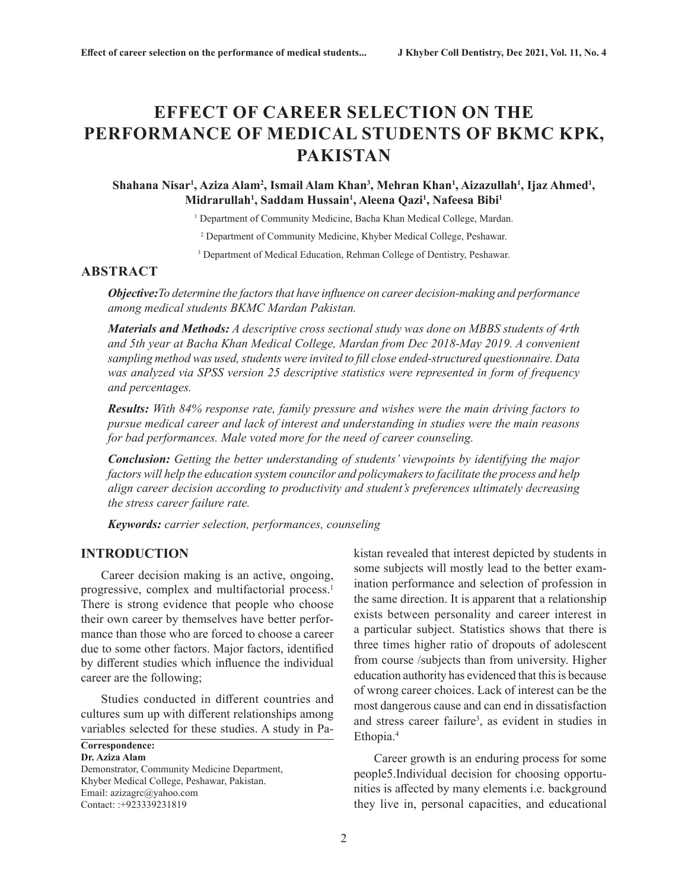# **EFFECT OF CAREER SELECTION ON THE PERFORMANCE OF MEDICAL STUDENTS OF BKMC KPK, PAKISTAN**

# Shahana Nisar<sup>ı</sup>, Aziza Alam<sup>2</sup>, Ismail Alam Khan<sup>3</sup>, Mehran Khan<sup>ı</sup>, Aizazullah<sup>ı</sup>, Ijaz Ahmed<sup>ı</sup>, **Midrarullah1 , Saddam Hussain1 , Aleena Qazi1 , Nafeesa Bibi1**

<sup>1</sup> Department of Community Medicine, Bacha Khan Medical College, Mardan.

2 Department of Community Medicine, Khyber Medical College, Peshawar.

<sup>3</sup> Department of Medical Education, Rehman College of Dentistry, Peshawar.

# **ABSTRACT**

*Objective:To determine the factors that have influence on career decision-making and performance among medical students BKMC Mardan Pakistan.*

*Materials and Methods: A descriptive cross sectional study was done on MBBS students of 4rth and 5th year at Bacha Khan Medical College, Mardan from Dec 2018-May 2019. A convenient sampling method was used, students were invited to fill close ended-structured questionnaire. Data was analyzed via SPSS version 25 descriptive statistics were represented in form of frequency and percentages.*

*Results: With 84% response rate, family pressure and wishes were the main driving factors to pursue medical career and lack of interest and understanding in studies were the main reasons for bad performances. Male voted more for the need of career counseling.*

*Conclusion: Getting the better understanding of students' viewpoints by identifying the major factors will help the education system councilor and policymakers to facilitate the process and help align career decision according to productivity and student's preferences ultimately decreasing the stress career failure rate.* 

*Keywords: carrier selection, performances, counseling*

# **INTRODUCTION**

Career decision making is an active, ongoing, progressive, complex and multifactorial process.<sup>1</sup> There is strong evidence that people who choose their own career by themselves have better performance than those who are forced to choose a career due to some other factors. Major factors, identified by different studies which influence the individual career are the following;

Studies conducted in different countries and cultures sum up with different relationships among variables selected for these studies. A study in Pa-

#### **Correspondence: Dr. Aziza Alam**

Demonstrator, Community Medicine Department, Khyber Medical College, Peshawar, Pakistan. Email: azizagrc@yahoo.com Contact: :+923339231819

kistan revealed that interest depicted by students in some subjects will mostly lead to the better examination performance and selection of profession in the same direction. It is apparent that a relationship exists between personality and career interest in a particular subject. Statistics shows that there is three times higher ratio of dropouts of adolescent from course /subjects than from university. Higher education authority has evidenced that this is because of wrong career choices. Lack of interest can be the most dangerous cause and can end in dissatisfaction and stress career failure<sup>3</sup>, as evident in studies in Ethopia.4

Career growth is an enduring process for some people5.Individual decision for choosing opportunities is affected by many elements i.e. background they live in, personal capacities, and educational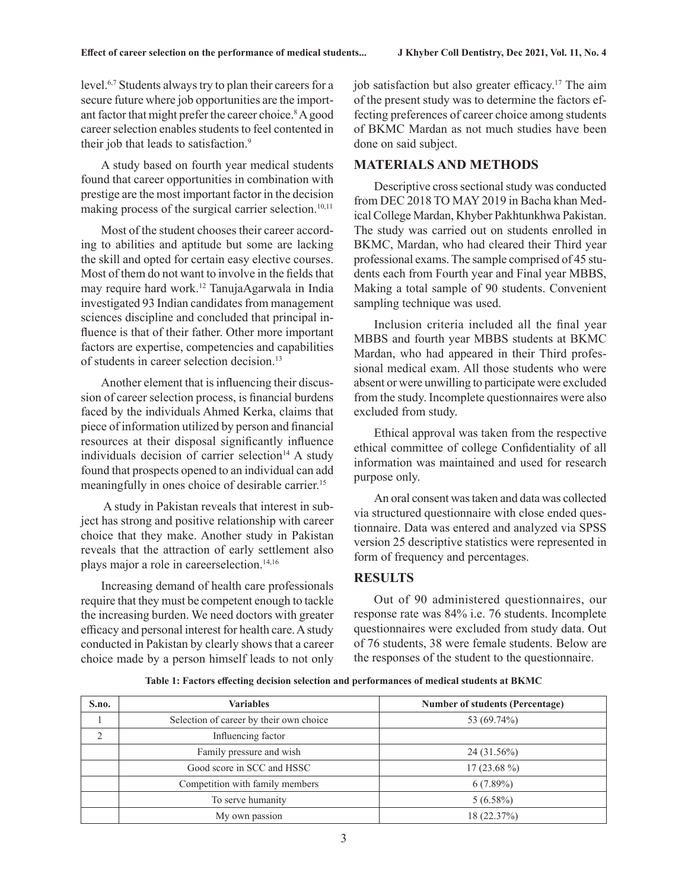level.6,7 Students always try to plan their careers for a secure future where job opportunities are the important factor that might prefer the career choice.<sup>8</sup> A good career selection enables students to feel contented in their job that leads to satisfaction.<sup>9</sup>

A study based on fourth year medical students found that career opportunities in combination with prestige are the most important factor in the decision making process of the surgical carrier selection.<sup>10,11</sup>

Most of the student chooses their career according to abilities and aptitude but some are lacking the skill and opted for certain easy elective courses. Most of them do not want to involve in the fields that may require hard work.12 TanujaAgarwala in India investigated 93 Indian candidates from management sciences discipline and concluded that principal influence is that of their father. Other more important factors are expertise, competencies and capabilities of students in career selection decision.13

Another element that is influencing their discussion of career selection process, is financial burdens faced by the individuals Ahmed Kerka, claims that piece of information utilized by person and financial resources at their disposal significantly influence individuals decision of carrier selection<sup>14</sup> A study found that prospects opened to an individual can add meaningfully in ones choice of desirable carrier.<sup>15</sup>

 A study in Pakistan reveals that interest in subject has strong and positive relationship with career choice that they make. Another study in Pakistan reveals that the attraction of early settlement also plays major a role in careerselection.<sup>14,16</sup>

Increasing demand of health care professionals require that they must be competent enough to tackle the increasing burden. We need doctors with greater efficacy and personal interest for health care. A study conducted in Pakistan by clearly shows that a career choice made by a person himself leads to not only job satisfaction but also greater efficacy.<sup>17</sup> The aim of the present study was to determine the factors effecting preferences of career choice among students of BKMC Mardan as not much studies have been done on said subject.

# **MATERIALS AND METHODS**

Descriptive cross sectional study was conducted from DEC 2018 TO MAY 2019 in Bacha khan Medical College Mardan, Khyber Pakhtunkhwa Pakistan. The study was carried out on students enrolled in BKMC, Mardan, who had cleared their Third year professional exams. The sample comprised of 45 students each from Fourth year and Final year MBBS, Making a total sample of 90 students. Convenient sampling technique was used.

Inclusion criteria included all the final year MBBS and fourth year MBBS students at BKMC Mardan, who had appeared in their Third professional medical exam. All those students who were absent or were unwilling to participate were excluded from the study. Incomplete questionnaires were also excluded from study.

Ethical approval was taken from the respective ethical committee of college Confidentiality of all information was maintained and used for research purpose only.

An oral consent was taken and data was collected via structured questionnaire with close ended questionnaire. Data was entered and analyzed via SPSS version 25 descriptive statistics were represented in form of frequency and percentages.

# **RESULTS**

Out of 90 administered questionnaires, our response rate was 84% i.e. 76 students. Incomplete questionnaires were excluded from study data. Out of 76 students, 38 were female students. Below are the responses of the student to the questionnaire.

**Table 1: Factors effecting decision selection and performances of medical students at BKMC**

| S.no.          | <b>Variables</b>                        | <b>Number of students (Percentage)</b> |
|----------------|-----------------------------------------|----------------------------------------|
|                | Selection of career by their own choice | 53 (69.74%)                            |
| $\overline{c}$ | Influencing factor                      |                                        |
|                | Family pressure and wish                | $24(31.56\%)$                          |
|                | Good score in SCC and HSSC              | $17(23.68\%)$                          |
|                | Competition with family members         | $6(7.89\%)$                            |
|                | To serve humanity                       | $5(6.58\%)$                            |
|                | My own passion                          | 18 (22.37%)                            |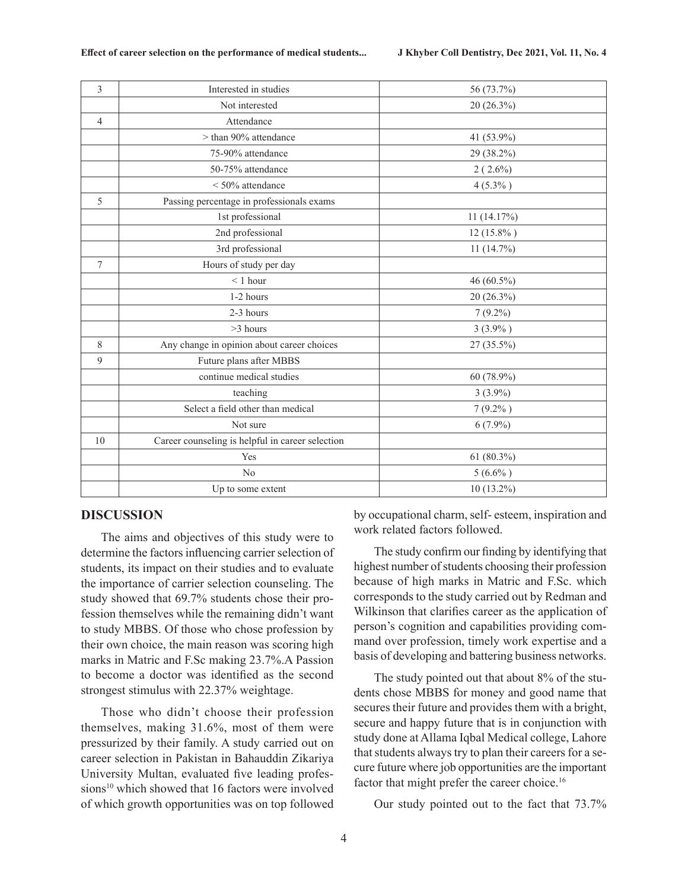| 3              | Interested in studies                            | 56 (73.7%)   |
|----------------|--------------------------------------------------|--------------|
|                | Not interested                                   | 20 (26.3%)   |
| $\overline{4}$ | Attendance                                       |              |
|                | > than 90% attendance                            | 41 (53.9%)   |
|                | 75-90% attendance                                | 29 (38.2%)   |
|                | 50-75% attendance                                | $2(2.6\%)$   |
|                | $<$ 50% attendance                               | $4(5.3\%)$   |
| 5              | Passing percentage in professionals exams        |              |
|                | 1st professional                                 | 11(14.17%)   |
|                | 2nd professional                                 | $12(15.8\%)$ |
|                | 3rd professional                                 | 11(14.7%)    |
| 7              | Hours of study per day                           |              |
|                | $\leq 1$ hour                                    | 46 (60.5%)   |
|                | 1-2 hours                                        | 20 (26.3%)   |
|                | 2-3 hours                                        | $7(9.2\%)$   |
|                | $>3$ hours                                       | 3(3.9%)      |
| 8              | Any change in opinion about career choices       | 27 (35.5%)   |
| 9              | Future plans after MBBS                          |              |
|                | continue medical studies                         | 60 (78.9%)   |
|                | teaching                                         | $3(3.9\%)$   |
|                | Select a field other than medical                | $7(9.2\%)$   |
|                | Not sure                                         | $6(7.9\%)$   |
| 10             | Career counseling is helpful in career selection |              |
|                | Yes                                              | 61 (80.3%)   |
|                | N <sub>o</sub>                                   | $5(6.6\%)$   |
|                | Up to some extent                                | 10 (13.2%)   |

### **DISCUSSION**

The aims and objectives of this study were to determine the factors influencing carrier selection of students, its impact on their studies and to evaluate the importance of carrier selection counseling. The study showed that 69.7% students chose their profession themselves while the remaining didn't want to study MBBS. Of those who chose profession by their own choice, the main reason was scoring high marks in Matric and F.Sc making 23.7%.A Passion to become a doctor was identified as the second strongest stimulus with 22.37% weightage.

Those who didn't choose their profession themselves, making 31.6%, most of them were pressurized by their family. A study carried out on career selection in Pakistan in Bahauddin Zikariya University Multan, evaluated five leading professions<sup>10</sup> which showed that 16 factors were involved of which growth opportunities was on top followed by occupational charm, self- esteem, inspiration and work related factors followed.

The study confirm our finding by identifying that highest number of students choosing their profession because of high marks in Matric and F.Sc. which corresponds to the study carried out by Redman and Wilkinson that clarifies career as the application of person's cognition and capabilities providing command over profession, timely work expertise and a basis of developing and battering business networks.

The study pointed out that about 8% of the students chose MBBS for money and good name that secures their future and provides them with a bright, secure and happy future that is in conjunction with study done at Allama Iqbal Medical college, Lahore that students always try to plan their careers for a secure future where job opportunities are the important factor that might prefer the career choice.<sup>16</sup>

Our study pointed out to the fact that 73.7%